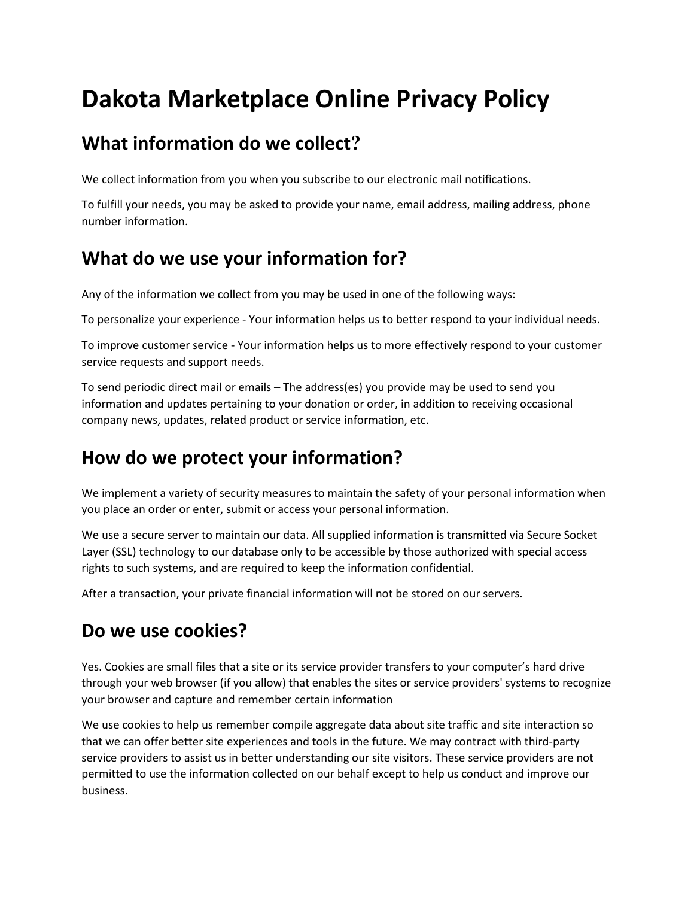# **Dakota Marketplace Online Privacy Policy**

#### **What information do we collect?**

We collect information from you when you subscribe to our electronic mail notifications.

To fulfill your needs, you may be asked to provide your name, email address, mailing address, phone number information.

## **What do we use your information for?**

Any of the information we collect from you may be used in one of the following ways:

To personalize your experience - Your information helps us to better respond to your individual needs.

To improve customer service - Your information helps us to more effectively respond to your customer service requests and support needs.

To send periodic direct mail or emails – The address(es) you provide may be used to send you information and updates pertaining to your donation or order, in addition to receiving occasional company news, updates, related product or service information, etc.

#### **How do we protect your information?**

We implement a variety of security measures to maintain the safety of your personal information when you place an order or enter, submit or access your personal information.

We use a secure server to maintain our data. All supplied information is transmitted via Secure Socket Layer (SSL) technology to our database only to be accessible by those authorized with special access rights to such systems, and are required to keep the information confidential.

After a transaction, your private financial information will not be stored on our servers.

#### **Do we use cookies?**

Yes. Cookies are small files that a site or its service provider transfers to your computer's hard drive through your web browser (if you allow) that enables the sites or service providers' systems to recognize your browser and capture and remember certain information

We use cookies to help us remember compile aggregate data about site traffic and site interaction so that we can offer better site experiences and tools in the future. We may contract with third-party service providers to assist us in better understanding our site visitors. These service providers are not permitted to use the information collected on our behalf except to help us conduct and improve our business.